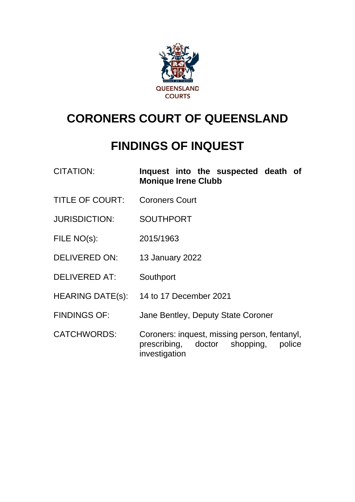

# **CORONERS COURT OF QUEENSLAND**

# **FINDINGS OF INQUEST**

| <b>CITATION:</b> |                            |  | Inquest into the suspected death of |  |
|------------------|----------------------------|--|-------------------------------------|--|
|                  | <b>Monique Irene Clubb</b> |  |                                     |  |

- TITLE OF COURT: Coroners Court
- JURISDICTION: SOUTHPORT
- FILE NO(s): 2015/1963
- DELIVERED ON: 13 January 2022
- DELIVERED AT: Southport
- HEARING DATE(s): 14 to 17 December 2021
- FINDINGS OF: Jane Bentley, Deputy State Coroner
- CATCHWORDS: Coroners: inquest, missing person, fentanyl, prescribing, doctor shopping, police investigation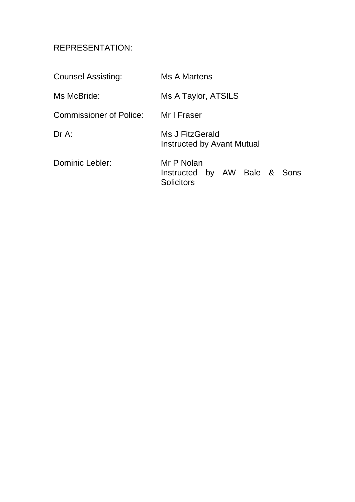## REPRESENTATION:

| <b>Counsel Assisting:</b> | Ms A Martens                                                    |
|---------------------------|-----------------------------------------------------------------|
| Ms McBride:               | Ms A Taylor, ATSILS                                             |
| Commissioner of Police:   | Mr I Fraser                                                     |
| $Dr A$ :                  | Ms J FitzGerald<br><b>Instructed by Avant Mutual</b>            |
| Dominic Lebler:           | Mr P Nolan<br>Instructed by AW Bale & Sons<br><b>Solicitors</b> |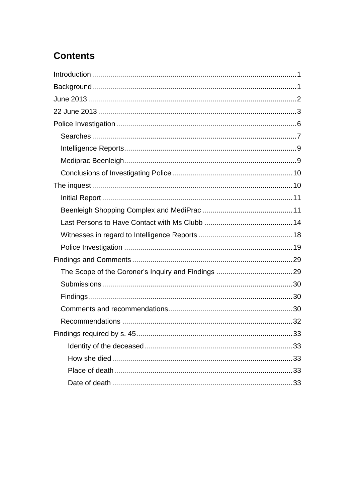## **Contents**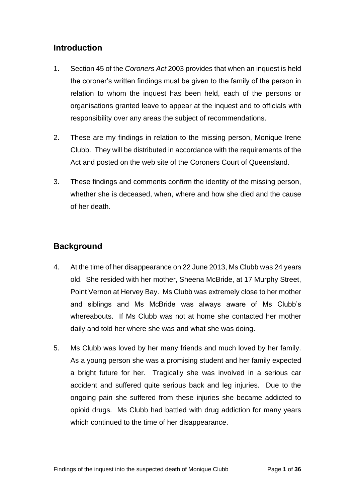## <span id="page-3-0"></span>**Introduction**

- 1. Section 45 of the *Coroners Act* 2003 provides that when an inquest is held the coroner's written findings must be given to the family of the person in relation to whom the inquest has been held, each of the persons or organisations granted leave to appear at the inquest and to officials with responsibility over any areas the subject of recommendations.
- 2. These are my findings in relation to the missing person, Monique Irene Clubb. They will be distributed in accordance with the requirements of the Act and posted on the web site of the Coroners Court of Queensland.
- 3. These findings and comments confirm the identity of the missing person, whether she is deceased, when, where and how she died and the cause of her death.

## <span id="page-3-1"></span>**Background**

- 4. At the time of her disappearance on 22 June 2013, Ms Clubb was 24 years old. She resided with her mother, Sheena McBride, at 17 Murphy Street, Point Vernon at Hervey Bay. Ms Clubb was extremely close to her mother and siblings and Ms McBride was always aware of Ms Clubb's whereabouts. If Ms Clubb was not at home she contacted her mother daily and told her where she was and what she was doing.
- 5. Ms Clubb was loved by her many friends and much loved by her family. As a young person she was a promising student and her family expected a bright future for her. Tragically she was involved in a serious car accident and suffered quite serious back and leg injuries. Due to the ongoing pain she suffered from these injuries she became addicted to opioid drugs. Ms Clubb had battled with drug addiction for many years which continued to the time of her disappearance.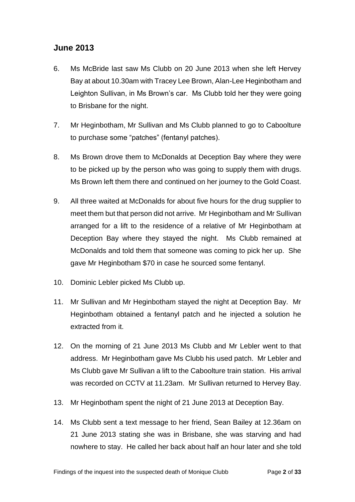### <span id="page-4-0"></span>**June 2013**

- 6. Ms McBride last saw Ms Clubb on 20 June 2013 when she left Hervey Bay at about 10.30am with Tracey Lee Brown, Alan-Lee Heginbotham and Leighton Sullivan, in Ms Brown's car. Ms Clubb told her they were going to Brisbane for the night.
- 7. Mr Heginbotham, Mr Sullivan and Ms Clubb planned to go to Caboolture to purchase some "patches" (fentanyl patches).
- 8. Ms Brown drove them to McDonalds at Deception Bay where they were to be picked up by the person who was going to supply them with drugs. Ms Brown left them there and continued on her journey to the Gold Coast.
- 9. All three waited at McDonalds for about five hours for the drug supplier to meet them but that person did not arrive. Mr Heginbotham and Mr Sullivan arranged for a lift to the residence of a relative of Mr Heginbotham at Deception Bay where they stayed the night. Ms Clubb remained at McDonalds and told them that someone was coming to pick her up. She gave Mr Heginbotham \$70 in case he sourced some fentanyl.
- 10. Dominic Lebler picked Ms Clubb up.
- 11. Mr Sullivan and Mr Heginbotham stayed the night at Deception Bay. Mr Heginbotham obtained a fentanyl patch and he injected a solution he extracted from it.
- 12. On the morning of 21 June 2013 Ms Clubb and Mr Lebler went to that address. Mr Heginbotham gave Ms Clubb his used patch. Mr Lebler and Ms Clubb gave Mr Sullivan a lift to the Caboolture train station. His arrival was recorded on CCTV at 11.23am. Mr Sullivan returned to Hervey Bay.
- 13. Mr Heginbotham spent the night of 21 June 2013 at Deception Bay.
- 14. Ms Clubb sent a text message to her friend, Sean Bailey at 12.36am on 21 June 2013 stating she was in Brisbane, she was starving and had nowhere to stay. He called her back about half an hour later and she told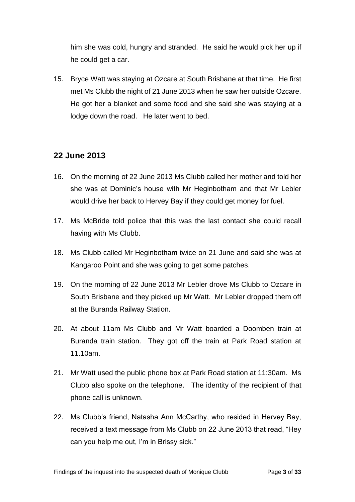him she was cold, hungry and stranded. He said he would pick her up if he could get a car.

15. Bryce Watt was staying at Ozcare at South Brisbane at that time. He first met Ms Clubb the night of 21 June 2013 when he saw her outside Ozcare. He got her a blanket and some food and she said she was staying at a lodge down the road. He later went to bed.

## <span id="page-5-0"></span>**22 June 2013**

- 16. On the morning of 22 June 2013 Ms Clubb called her mother and told her she was at Dominic's house with Mr Heginbotham and that Mr Lebler would drive her back to Hervey Bay if they could get money for fuel.
- 17. Ms McBride told police that this was the last contact she could recall having with Ms Clubb.
- 18. Ms Clubb called Mr Heginbotham twice on 21 June and said she was at Kangaroo Point and she was going to get some patches.
- 19. On the morning of 22 June 2013 Mr Lebler drove Ms Clubb to Ozcare in South Brisbane and they picked up Mr Watt. Mr Lebler dropped them off at the Buranda Railway Station.
- 20. At about 11am Ms Clubb and Mr Watt boarded a Doomben train at Buranda train station. They got off the train at Park Road station at 11.10am.
- 21. Mr Watt used the public phone box at Park Road station at 11:30am. Ms Clubb also spoke on the telephone. The identity of the recipient of that phone call is unknown.
- 22. Ms Clubb's friend, Natasha Ann McCarthy, who resided in Hervey Bay, received a text message from Ms Clubb on 22 June 2013 that read, "Hey can you help me out, I'm in Brissy sick."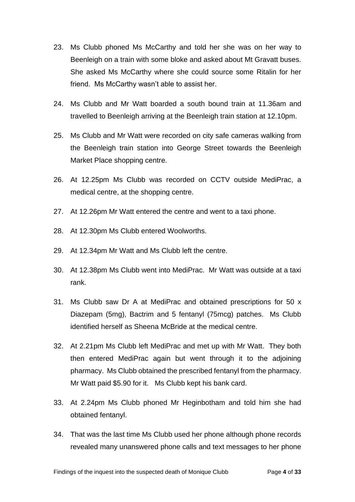- 23. Ms Clubb phoned Ms McCarthy and told her she was on her way to Beenleigh on a train with some bloke and asked about Mt Gravatt buses. She asked Ms McCarthy where she could source some Ritalin for her friend. Ms McCarthy wasn't able to assist her.
- 24. Ms Clubb and Mr Watt boarded a south bound train at 11.36am and travelled to Beenleigh arriving at the Beenleigh train station at 12.10pm.
- 25. Ms Clubb and Mr Watt were recorded on city safe cameras walking from the Beenleigh train station into George Street towards the Beenleigh Market Place shopping centre.
- 26. At 12.25pm Ms Clubb was recorded on CCTV outside MediPrac, a medical centre, at the shopping centre.
- 27. At 12.26pm Mr Watt entered the centre and went to a taxi phone.
- 28. At 12.30pm Ms Clubb entered Woolworths.
- 29. At 12.34pm Mr Watt and Ms Clubb left the centre.
- 30. At 12.38pm Ms Clubb went into MediPrac. Mr Watt was outside at a taxi rank.
- 31. Ms Clubb saw Dr A at MediPrac and obtained prescriptions for 50 x Diazepam (5mg), Bactrim and 5 fentanyl (75mcg) patches. Ms Clubb identified herself as Sheena McBride at the medical centre.
- 32. At 2.21pm Ms Clubb left MediPrac and met up with Mr Watt. They both then entered MediPrac again but went through it to the adjoining pharmacy. Ms Clubb obtained the prescribed fentanyl from the pharmacy. Mr Watt paid \$5.90 for it. Ms Clubb kept his bank card.
- 33. At 2.24pm Ms Clubb phoned Mr Heginbotham and told him she had obtained fentanyl.
- 34. That was the last time Ms Clubb used her phone although phone records revealed many unanswered phone calls and text messages to her phone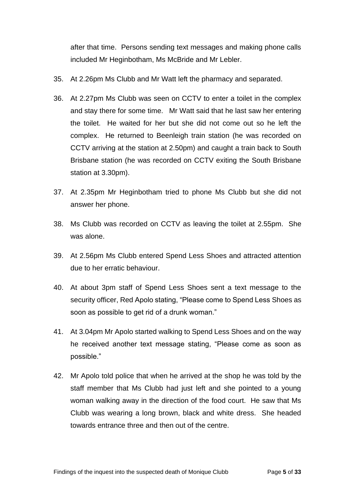after that time. Persons sending text messages and making phone calls included Mr Heginbotham, Ms McBride and Mr Lebler.

- 35. At 2.26pm Ms Clubb and Mr Watt left the pharmacy and separated.
- 36. At 2.27pm Ms Clubb was seen on CCTV to enter a toilet in the complex and stay there for some time. Mr Watt said that he last saw her entering the toilet. He waited for her but she did not come out so he left the complex. He returned to Beenleigh train station (he was recorded on CCTV arriving at the station at 2.50pm) and caught a train back to South Brisbane station (he was recorded on CCTV exiting the South Brisbane station at 3.30pm).
- 37. At 2.35pm Mr Heginbotham tried to phone Ms Clubb but she did not answer her phone.
- 38. Ms Clubb was recorded on CCTV as leaving the toilet at 2.55pm. She was alone.
- 39. At 2.56pm Ms Clubb entered Spend Less Shoes and attracted attention due to her erratic behaviour.
- 40. At about 3pm staff of Spend Less Shoes sent a text message to the security officer, Red Apolo stating, "Please come to Spend Less Shoes as soon as possible to get rid of a drunk woman."
- 41. At 3.04pm Mr Apolo started walking to Spend Less Shoes and on the way he received another text message stating, "Please come as soon as possible."
- 42. Mr Apolo told police that when he arrived at the shop he was told by the staff member that Ms Clubb had just left and she pointed to a young woman walking away in the direction of the food court. He saw that Ms Clubb was wearing a long brown, black and white dress. She headed towards entrance three and then out of the centre.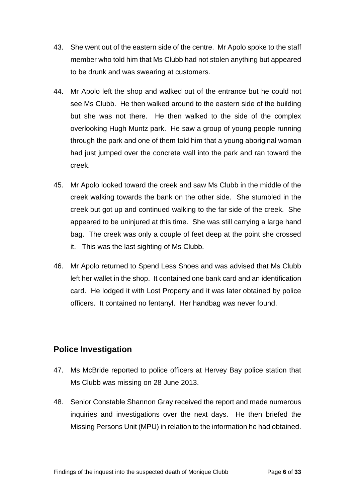- 43. She went out of the eastern side of the centre. Mr Apolo spoke to the staff member who told him that Ms Clubb had not stolen anything but appeared to be drunk and was swearing at customers.
- 44. Mr Apolo left the shop and walked out of the entrance but he could not see Ms Clubb. He then walked around to the eastern side of the building but she was not there. He then walked to the side of the complex overlooking Hugh Muntz park. He saw a group of young people running through the park and one of them told him that a young aboriginal woman had just jumped over the concrete wall into the park and ran toward the creek.
- 45. Mr Apolo looked toward the creek and saw Ms Clubb in the middle of the creek walking towards the bank on the other side. She stumbled in the creek but got up and continued walking to the far side of the creek. She appeared to be uninjured at this time. She was still carrying a large hand bag. The creek was only a couple of feet deep at the point she crossed it. This was the last sighting of Ms Clubb.
- 46. Mr Apolo returned to Spend Less Shoes and was advised that Ms Clubb left her wallet in the shop. It contained one bank card and an identification card. He lodged it with Lost Property and it was later obtained by police officers. It contained no fentanyl. Her handbag was never found.

## <span id="page-8-0"></span>**Police Investigation**

- 47. Ms McBride reported to police officers at Hervey Bay police station that Ms Clubb was missing on 28 June 2013.
- 48. Senior Constable Shannon Gray received the report and made numerous inquiries and investigations over the next days. He then briefed the Missing Persons Unit (MPU) in relation to the information he had obtained.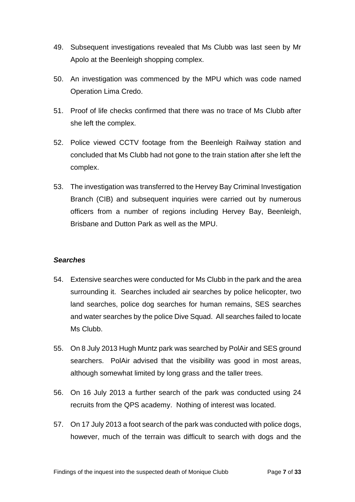- 49. Subsequent investigations revealed that Ms Clubb was last seen by Mr Apolo at the Beenleigh shopping complex.
- 50. An investigation was commenced by the MPU which was code named Operation Lima Credo.
- 51. Proof of life checks confirmed that there was no trace of Ms Clubb after she left the complex.
- 52. Police viewed CCTV footage from the Beenleigh Railway station and concluded that Ms Clubb had not gone to the train station after she left the complex.
- 53. The investigation was transferred to the Hervey Bay Criminal Investigation Branch (CIB) and subsequent inquiries were carried out by numerous officers from a number of regions including Hervey Bay, Beenleigh, Brisbane and Dutton Park as well as the MPU.

#### <span id="page-9-0"></span>*Searches*

- 54. Extensive searches were conducted for Ms Clubb in the park and the area surrounding it. Searches included air searches by police helicopter, two land searches, police dog searches for human remains, SES searches and water searches by the police Dive Squad. All searches failed to locate Ms Clubb.
- 55. On 8 July 2013 Hugh Muntz park was searched by PolAir and SES ground searchers. PolAir advised that the visibility was good in most areas, although somewhat limited by long grass and the taller trees.
- 56. On 16 July 2013 a further search of the park was conducted using 24 recruits from the QPS academy. Nothing of interest was located.
- 57. On 17 July 2013 a foot search of the park was conducted with police dogs, however, much of the terrain was difficult to search with dogs and the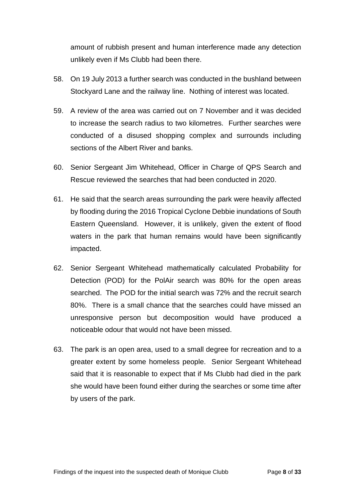amount of rubbish present and human interference made any detection unlikely even if Ms Clubb had been there.

- 58. On 19 July 2013 a further search was conducted in the bushland between Stockyard Lane and the railway line. Nothing of interest was located.
- 59. A review of the area was carried out on 7 November and it was decided to increase the search radius to two kilometres. Further searches were conducted of a disused shopping complex and surrounds including sections of the Albert River and banks.
- 60. Senior Sergeant Jim Whitehead, Officer in Charge of QPS Search and Rescue reviewed the searches that had been conducted in 2020.
- 61. He said that the search areas surrounding the park were heavily affected by flooding during the 2016 Tropical Cyclone Debbie inundations of South Eastern Queensland. However, it is unlikely, given the extent of flood waters in the park that human remains would have been significantly impacted.
- 62. Senior Sergeant Whitehead mathematically calculated Probability for Detection (POD) for the PolAir search was 80% for the open areas searched. The POD for the initial search was 72% and the recruit search 80%. There is a small chance that the searches could have missed an unresponsive person but decomposition would have produced a noticeable odour that would not have been missed.
- 63. The park is an open area, used to a small degree for recreation and to a greater extent by some homeless people. Senior Sergeant Whitehead said that it is reasonable to expect that if Ms Clubb had died in the park she would have been found either during the searches or some time after by users of the park.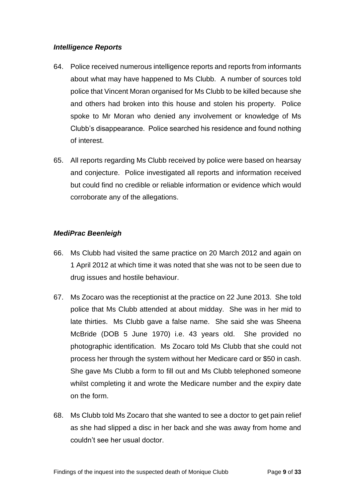#### <span id="page-11-0"></span>*Intelligence Reports*

- 64. Police received numerous intelligence reports and reports from informants about what may have happened to Ms Clubb. A number of sources told police that Vincent Moran organised for Ms Clubb to be killed because she and others had broken into this house and stolen his property. Police spoke to Mr Moran who denied any involvement or knowledge of Ms Clubb's disappearance. Police searched his residence and found nothing of interest.
- 65. All reports regarding Ms Clubb received by police were based on hearsay and conjecture. Police investigated all reports and information received but could find no credible or reliable information or evidence which would corroborate any of the allegations.

#### <span id="page-11-1"></span>*MediPrac Beenleigh*

- 66. Ms Clubb had visited the same practice on 20 March 2012 and again on 1 April 2012 at which time it was noted that she was not to be seen due to drug issues and hostile behaviour.
- 67. Ms Zocaro was the receptionist at the practice on 22 June 2013. She told police that Ms Clubb attended at about midday. She was in her mid to late thirties. Ms Clubb gave a false name. She said she was Sheena McBride (DOB 5 June 1970) i.e. 43 years old. She provided no photographic identification. Ms Zocaro told Ms Clubb that she could not process her through the system without her Medicare card or \$50 in cash. She gave Ms Clubb a form to fill out and Ms Clubb telephoned someone whilst completing it and wrote the Medicare number and the expiry date on the form.
- 68. Ms Clubb told Ms Zocaro that she wanted to see a doctor to get pain relief as she had slipped a disc in her back and she was away from home and couldn't see her usual doctor.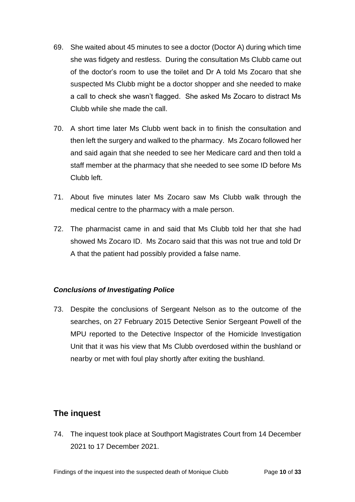- 69. She waited about 45 minutes to see a doctor (Doctor A) during which time she was fidgety and restless. During the consultation Ms Clubb came out of the doctor's room to use the toilet and Dr A told Ms Zocaro that she suspected Ms Clubb might be a doctor shopper and she needed to make a call to check she wasn't flagged. She asked Ms Zocaro to distract Ms Clubb while she made the call.
- 70. A short time later Ms Clubb went back in to finish the consultation and then left the surgery and walked to the pharmacy. Ms Zocaro followed her and said again that she needed to see her Medicare card and then told a staff member at the pharmacy that she needed to see some ID before Ms Clubb left.
- 71. About five minutes later Ms Zocaro saw Ms Clubb walk through the medical centre to the pharmacy with a male person.
- 72. The pharmacist came in and said that Ms Clubb told her that she had showed Ms Zocaro ID. Ms Zocaro said that this was not true and told Dr A that the patient had possibly provided a false name.

#### <span id="page-12-0"></span>*Conclusions of Investigating Police*

73. Despite the conclusions of Sergeant Nelson as to the outcome of the searches, on 27 February 2015 Detective Senior Sergeant Powell of the MPU reported to the Detective Inspector of the Homicide Investigation Unit that it was his view that Ms Clubb overdosed within the bushland or nearby or met with foul play shortly after exiting the bushland.

## <span id="page-12-1"></span>**The inquest**

74. The inquest took place at Southport Magistrates Court from 14 December 2021 to 17 December 2021.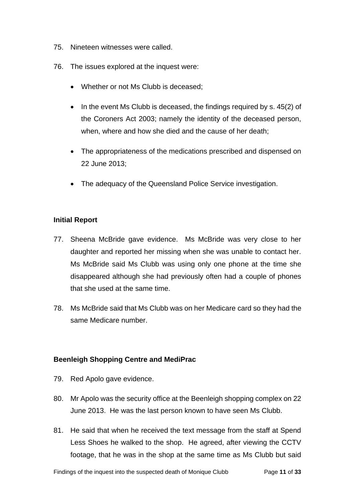- 75. Nineteen witnesses were called.
- 76. The issues explored at the inquest were:
	- Whether or not Ms Clubb is deceased:
	- In the event Ms Clubb is deceased, the findings required by s. 45(2) of the Coroners Act 2003; namely the identity of the deceased person, when, where and how she died and the cause of her death;
	- The appropriateness of the medications prescribed and dispensed on 22 June 2013;
	- The adequacy of the Queensland Police Service investigation.

#### <span id="page-13-0"></span>**Initial Report**

- 77. Sheena McBride gave evidence. Ms McBride was very close to her daughter and reported her missing when she was unable to contact her. Ms McBride said Ms Clubb was using only one phone at the time she disappeared although she had previously often had a couple of phones that she used at the same time.
- 78. Ms McBride said that Ms Clubb was on her Medicare card so they had the same Medicare number.

#### <span id="page-13-1"></span>**Beenleigh Shopping Centre and MediPrac**

- 79. Red Apolo gave evidence.
- 80. Mr Apolo was the security office at the Beenleigh shopping complex on 22 June 2013. He was the last person known to have seen Ms Clubb.
- 81. He said that when he received the text message from the staff at Spend Less Shoes he walked to the shop. He agreed, after viewing the CCTV footage, that he was in the shop at the same time as Ms Clubb but said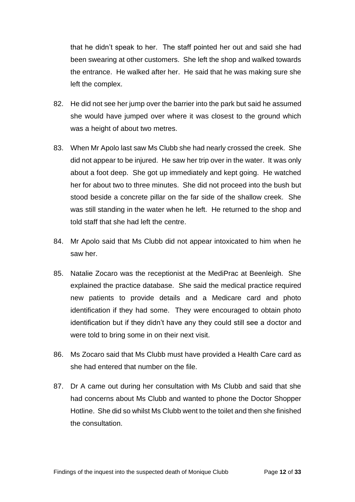that he didn't speak to her. The staff pointed her out and said she had been swearing at other customers. She left the shop and walked towards the entrance. He walked after her. He said that he was making sure she left the complex.

- 82. He did not see her jump over the barrier into the park but said he assumed she would have jumped over where it was closest to the ground which was a height of about two metres.
- 83. When Mr Apolo last saw Ms Clubb she had nearly crossed the creek. She did not appear to be injured. He saw her trip over in the water. It was only about a foot deep. She got up immediately and kept going. He watched her for about two to three minutes. She did not proceed into the bush but stood beside a concrete pillar on the far side of the shallow creek. She was still standing in the water when he left. He returned to the shop and told staff that she had left the centre.
- 84. Mr Apolo said that Ms Clubb did not appear intoxicated to him when he saw her.
- 85. Natalie Zocaro was the receptionist at the MediPrac at Beenleigh. She explained the practice database. She said the medical practice required new patients to provide details and a Medicare card and photo identification if they had some. They were encouraged to obtain photo identification but if they didn't have any they could still see a doctor and were told to bring some in on their next visit.
- 86. Ms Zocaro said that Ms Clubb must have provided a Health Care card as she had entered that number on the file.
- 87. Dr A came out during her consultation with Ms Clubb and said that she had concerns about Ms Clubb and wanted to phone the Doctor Shopper Hotline. She did so whilst Ms Clubb went to the toilet and then she finished the consultation.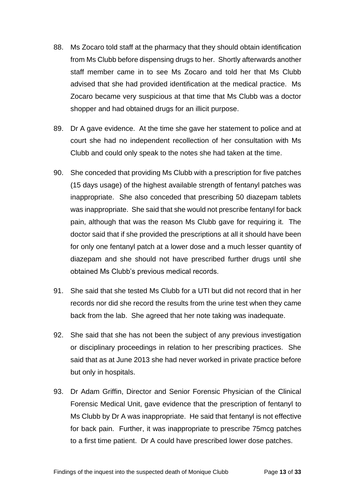- 88. Ms Zocaro told staff at the pharmacy that they should obtain identification from Ms Clubb before dispensing drugs to her. Shortly afterwards another staff member came in to see Ms Zocaro and told her that Ms Clubb advised that she had provided identification at the medical practice. Ms Zocaro became very suspicious at that time that Ms Clubb was a doctor shopper and had obtained drugs for an illicit purpose.
- 89. Dr A gave evidence. At the time she gave her statement to police and at court she had no independent recollection of her consultation with Ms Clubb and could only speak to the notes she had taken at the time.
- 90. She conceded that providing Ms Clubb with a prescription for five patches (15 days usage) of the highest available strength of fentanyl patches was inappropriate. She also conceded that prescribing 50 diazepam tablets was inappropriate. She said that she would not prescribe fentanyl for back pain, although that was the reason Ms Clubb gave for requiring it. The doctor said that if she provided the prescriptions at all it should have been for only one fentanyl patch at a lower dose and a much lesser quantity of diazepam and she should not have prescribed further drugs until she obtained Ms Clubb's previous medical records.
- 91. She said that she tested Ms Clubb for a UTI but did not record that in her records nor did she record the results from the urine test when they came back from the lab. She agreed that her note taking was inadequate.
- 92. She said that she has not been the subject of any previous investigation or disciplinary proceedings in relation to her prescribing practices. She said that as at June 2013 she had never worked in private practice before but only in hospitals.
- 93. Dr Adam Griffin, Director and Senior Forensic Physician of the Clinical Forensic Medical Unit, gave evidence that the prescription of fentanyl to Ms Clubb by Dr A was inappropriate. He said that fentanyl is not effective for back pain. Further, it was inappropriate to prescribe 75mcg patches to a first time patient. Dr A could have prescribed lower dose patches.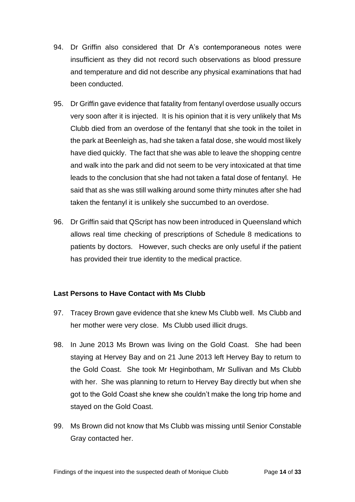- 94. Dr Griffin also considered that Dr A's contemporaneous notes were insufficient as they did not record such observations as blood pressure and temperature and did not describe any physical examinations that had been conducted.
- 95. Dr Griffin gave evidence that fatality from fentanyl overdose usually occurs very soon after it is injected. It is his opinion that it is very unlikely that Ms Clubb died from an overdose of the fentanyl that she took in the toilet in the park at Beenleigh as, had she taken a fatal dose, she would most likely have died quickly. The fact that she was able to leave the shopping centre and walk into the park and did not seem to be very intoxicated at that time leads to the conclusion that she had not taken a fatal dose of fentanyl. He said that as she was still walking around some thirty minutes after she had taken the fentanyl it is unlikely she succumbed to an overdose.
- 96. Dr Griffin said that QScript has now been introduced in Queensland which allows real time checking of prescriptions of Schedule 8 medications to patients by doctors. However, such checks are only useful if the patient has provided their true identity to the medical practice.

#### <span id="page-16-0"></span>**Last Persons to Have Contact with Ms Clubb**

- 97. Tracey Brown gave evidence that she knew Ms Clubb well. Ms Clubb and her mother were very close. Ms Clubb used illicit drugs.
- 98. In June 2013 Ms Brown was living on the Gold Coast. She had been staying at Hervey Bay and on 21 June 2013 left Hervey Bay to return to the Gold Coast. She took Mr Heginbotham, Mr Sullivan and Ms Clubb with her. She was planning to return to Hervey Bay directly but when she got to the Gold Coast she knew she couldn't make the long trip home and stayed on the Gold Coast.
- 99. Ms Brown did not know that Ms Clubb was missing until Senior Constable Gray contacted her.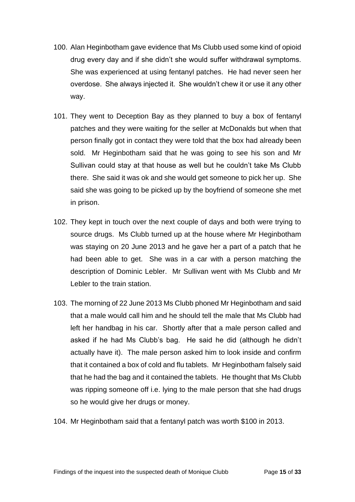- 100. Alan Heginbotham gave evidence that Ms Clubb used some kind of opioid drug every day and if she didn't she would suffer withdrawal symptoms. She was experienced at using fentanyl patches. He had never seen her overdose. She always injected it. She wouldn't chew it or use it any other way.
- 101. They went to Deception Bay as they planned to buy a box of fentanyl patches and they were waiting for the seller at McDonalds but when that person finally got in contact they were told that the box had already been sold. Mr Heginbotham said that he was going to see his son and Mr Sullivan could stay at that house as well but he couldn't take Ms Clubb there. She said it was ok and she would get someone to pick her up. She said she was going to be picked up by the boyfriend of someone she met in prison.
- 102. They kept in touch over the next couple of days and both were trying to source drugs. Ms Clubb turned up at the house where Mr Heginbotham was staying on 20 June 2013 and he gave her a part of a patch that he had been able to get. She was in a car with a person matching the description of Dominic Lebler. Mr Sullivan went with Ms Clubb and Mr Lebler to the train station.
- 103. The morning of 22 June 2013 Ms Clubb phoned Mr Heginbotham and said that a male would call him and he should tell the male that Ms Clubb had left her handbag in his car. Shortly after that a male person called and asked if he had Ms Clubb's bag. He said he did (although he didn't actually have it). The male person asked him to look inside and confirm that it contained a box of cold and flu tablets. Mr Heginbotham falsely said that he had the bag and it contained the tablets. He thought that Ms Clubb was ripping someone off i.e. lying to the male person that she had drugs so he would give her drugs or money.
- 104. Mr Heginbotham said that a fentanyl patch was worth \$100 in 2013.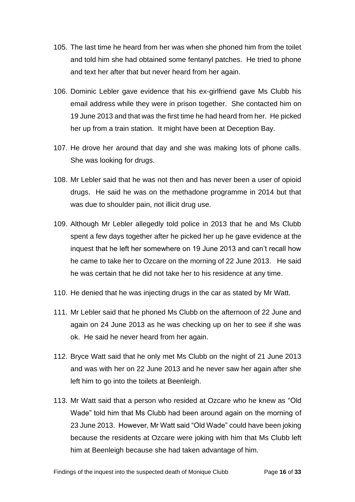- 105. The last time he heard from her was when she phoned him from the toilet and told him she had obtained some fentanyl patches. He tried to phone and text her after that but never heard from her again.
- 106. Dominic Lebler gave evidence that his ex-girlfriend gave Ms Clubb his email address while they were in prison together. She contacted him on 19 June 2013 and that was the first time he had heard from her. He picked her up from a train station. It might have been at Deception Bay.
- 107. He drove her around that day and she was making lots of phone calls. She was looking for drugs.
- 108. Mr Lebler said that he was not then and has never been a user of opioid drugs. He said he was on the methadone programme in 2014 but that was due to shoulder pain, not illicit drug use.
- 109. Although Mr Lebler allegedly told police in 2013 that he and Ms Clubb spent a few days together after he picked her up he gave evidence at the inquest that he left her somewhere on 19 June 2013 and can't recall how he came to take her to Ozcare on the morning of 22 June 2013. He said he was certain that he did not take her to his residence at any time.
- 110. He denied that he was injecting drugs in the car as stated by Mr Watt.
- 111. Mr Lebler said that he phoned Ms Clubb on the afternoon of 22 June and again on 24 June 2013 as he was checking up on her to see if she was ok. He said he never heard from her again.
- 112. Bryce Watt said that he only met Ms Clubb on the night of 21 June 2013 and was with her on 22 June 2013 and he never saw her again after she left him to go into the toilets at Beenleigh.
- 113. Mr Watt said that a person who resided at Ozcare who he knew as "Old Wade" told him that Ms Clubb had been around again on the morning of 23 June 2013. However, Mr Watt said "Old Wade" could have been joking because the residents at Ozcare were joking with him that Ms Clubb left him at Beenleigh because she had taken advantage of him.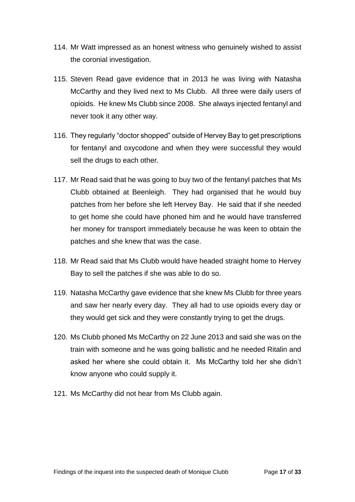- 114. Mr Watt impressed as an honest witness who genuinely wished to assist the coronial investigation.
- 115. Steven Read gave evidence that in 2013 he was living with Natasha McCarthy and they lived next to Ms Clubb. All three were daily users of opioids. He knew Ms Clubb since 2008. She always injected fentanyl and never took it any other way.
- 116. They regularly "doctor shopped" outside of Hervey Bay to get prescriptions for fentanyl and oxycodone and when they were successful they would sell the drugs to each other.
- 117. Mr Read said that he was going to buy two of the fentanyl patches that Ms Clubb obtained at Beenleigh. They had organised that he would buy patches from her before she left Hervey Bay. He said that if she needed to get home she could have phoned him and he would have transferred her money for transport immediately because he was keen to obtain the patches and she knew that was the case.
- 118. Mr Read said that Ms Clubb would have headed straight home to Hervey Bay to sell the patches if she was able to do so.
- 119. Natasha McCarthy gave evidence that she knew Ms Clubb for three years and saw her nearly every day. They all had to use opioids every day or they would get sick and they were constantly trying to get the drugs.
- 120. Ms Clubb phoned Ms McCarthy on 22 June 2013 and said she was on the train with someone and he was going ballistic and he needed Ritalin and asked her where she could obtain it. Ms McCarthy told her she didn't know anyone who could supply it.
- 121. Ms McCarthy did not hear from Ms Clubb again.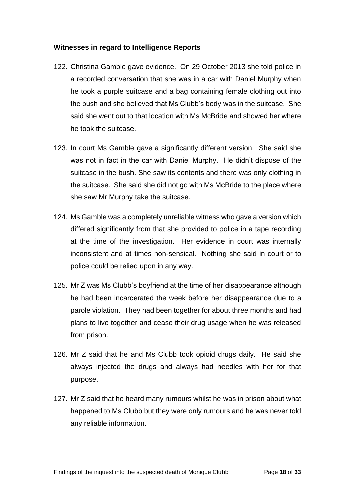#### <span id="page-20-0"></span>**Witnesses in regard to Intelligence Reports**

- 122. Christina Gamble gave evidence. On 29 October 2013 she told police in a recorded conversation that she was in a car with Daniel Murphy when he took a purple suitcase and a bag containing female clothing out into the bush and she believed that Ms Clubb's body was in the suitcase. She said she went out to that location with Ms McBride and showed her where he took the suitcase.
- 123. In court Ms Gamble gave a significantly different version. She said she was not in fact in the car with Daniel Murphy. He didn't dispose of the suitcase in the bush. She saw its contents and there was only clothing in the suitcase. She said she did not go with Ms McBride to the place where she saw Mr Murphy take the suitcase.
- 124. Ms Gamble was a completely unreliable witness who gave a version which differed significantly from that she provided to police in a tape recording at the time of the investigation. Her evidence in court was internally inconsistent and at times non-sensical. Nothing she said in court or to police could be relied upon in any way.
- 125. Mr Z was Ms Clubb's boyfriend at the time of her disappearance although he had been incarcerated the week before her disappearance due to a parole violation. They had been together for about three months and had plans to live together and cease their drug usage when he was released from prison.
- 126. Mr Z said that he and Ms Clubb took opioid drugs daily. He said she always injected the drugs and always had needles with her for that purpose.
- 127. Mr Z said that he heard many rumours whilst he was in prison about what happened to Ms Clubb but they were only rumours and he was never told any reliable information.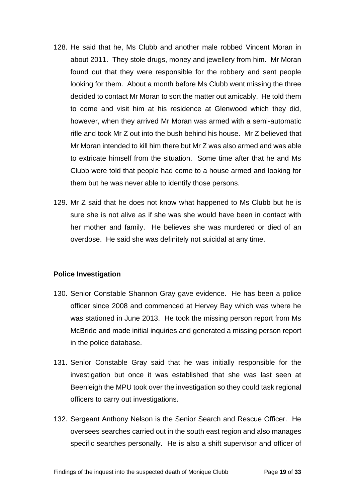- 128. He said that he, Ms Clubb and another male robbed Vincent Moran in about 2011. They stole drugs, money and jewellery from him. Mr Moran found out that they were responsible for the robbery and sent people looking for them. About a month before Ms Clubb went missing the three decided to contact Mr Moran to sort the matter out amicably. He told them to come and visit him at his residence at Glenwood which they did, however, when they arrived Mr Moran was armed with a semi-automatic rifle and took Mr Z out into the bush behind his house. Mr Z believed that Mr Moran intended to kill him there but Mr Z was also armed and was able to extricate himself from the situation. Some time after that he and Ms Clubb were told that people had come to a house armed and looking for them but he was never able to identify those persons.
- 129. Mr Z said that he does not know what happened to Ms Clubb but he is sure she is not alive as if she was she would have been in contact with her mother and family. He believes she was murdered or died of an overdose. He said she was definitely not suicidal at any time.

#### <span id="page-21-0"></span>**Police Investigation**

- 130. Senior Constable Shannon Gray gave evidence. He has been a police officer since 2008 and commenced at Hervey Bay which was where he was stationed in June 2013. He took the missing person report from Ms McBride and made initial inquiries and generated a missing person report in the police database.
- 131. Senior Constable Gray said that he was initially responsible for the investigation but once it was established that she was last seen at Beenleigh the MPU took over the investigation so they could task regional officers to carry out investigations.
- 132. Sergeant Anthony Nelson is the Senior Search and Rescue Officer. He oversees searches carried out in the south east region and also manages specific searches personally. He is also a shift supervisor and officer of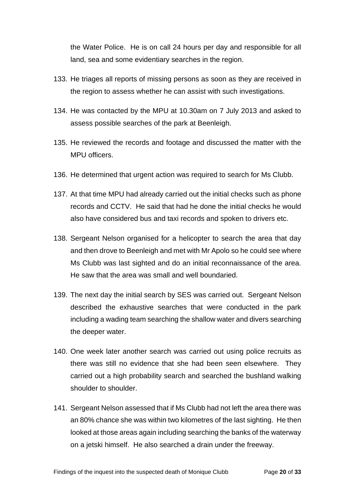the Water Police. He is on call 24 hours per day and responsible for all land, sea and some evidentiary searches in the region.

- 133. He triages all reports of missing persons as soon as they are received in the region to assess whether he can assist with such investigations.
- 134. He was contacted by the MPU at 10.30am on 7 July 2013 and asked to assess possible searches of the park at Beenleigh.
- 135. He reviewed the records and footage and discussed the matter with the MPU officers.
- 136. He determined that urgent action was required to search for Ms Clubb.
- 137. At that time MPU had already carried out the initial checks such as phone records and CCTV. He said that had he done the initial checks he would also have considered bus and taxi records and spoken to drivers etc.
- 138. Sergeant Nelson organised for a helicopter to search the area that day and then drove to Beenleigh and met with Mr Apolo so he could see where Ms Clubb was last sighted and do an initial reconnaissance of the area. He saw that the area was small and well boundaried.
- 139. The next day the initial search by SES was carried out. Sergeant Nelson described the exhaustive searches that were conducted in the park including a wading team searching the shallow water and divers searching the deeper water.
- 140. One week later another search was carried out using police recruits as there was still no evidence that she had been seen elsewhere. They carried out a high probability search and searched the bushland walking shoulder to shoulder.
- 141. Sergeant Nelson assessed that if Ms Clubb had not left the area there was an 80% chance she was within two kilometres of the last sighting. He then looked at those areas again including searching the banks of the waterway on a jetski himself. He also searched a drain under the freeway.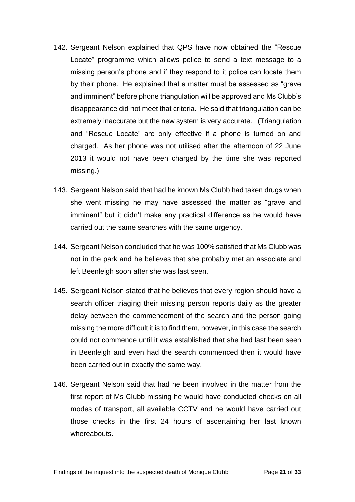- 142. Sergeant Nelson explained that QPS have now obtained the "Rescue Locate" programme which allows police to send a text message to a missing person's phone and if they respond to it police can locate them by their phone. He explained that a matter must be assessed as "grave and imminent" before phone triangulation will be approved and Ms Clubb's disappearance did not meet that criteria. He said that triangulation can be extremely inaccurate but the new system is very accurate. (Triangulation and "Rescue Locate" are only effective if a phone is turned on and charged. As her phone was not utilised after the afternoon of 22 June 2013 it would not have been charged by the time she was reported missing.)
- 143. Sergeant Nelson said that had he known Ms Clubb had taken drugs when she went missing he may have assessed the matter as "grave and imminent" but it didn't make any practical difference as he would have carried out the same searches with the same urgency.
- 144. Sergeant Nelson concluded that he was 100% satisfied that Ms Clubb was not in the park and he believes that she probably met an associate and left Beenleigh soon after she was last seen.
- 145. Sergeant Nelson stated that he believes that every region should have a search officer triaging their missing person reports daily as the greater delay between the commencement of the search and the person going missing the more difficult it is to find them, however, in this case the search could not commence until it was established that she had last been seen in Beenleigh and even had the search commenced then it would have been carried out in exactly the same way.
- 146. Sergeant Nelson said that had he been involved in the matter from the first report of Ms Clubb missing he would have conducted checks on all modes of transport, all available CCTV and he would have carried out those checks in the first 24 hours of ascertaining her last known whereabouts.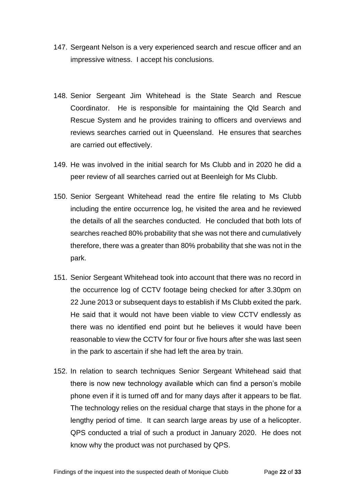- 147. Sergeant Nelson is a very experienced search and rescue officer and an impressive witness. I accept his conclusions.
- 148. Senior Sergeant Jim Whitehead is the State Search and Rescue Coordinator. He is responsible for maintaining the Qld Search and Rescue System and he provides training to officers and overviews and reviews searches carried out in Queensland. He ensures that searches are carried out effectively.
- 149. He was involved in the initial search for Ms Clubb and in 2020 he did a peer review of all searches carried out at Beenleigh for Ms Clubb.
- 150. Senior Sergeant Whitehead read the entire file relating to Ms Clubb including the entire occurrence log, he visited the area and he reviewed the details of all the searches conducted. He concluded that both lots of searches reached 80% probability that she was not there and cumulatively therefore, there was a greater than 80% probability that she was not in the park.
- 151. Senior Sergeant Whitehead took into account that there was no record in the occurrence log of CCTV footage being checked for after 3.30pm on 22 June 2013 or subsequent days to establish if Ms Clubb exited the park. He said that it would not have been viable to view CCTV endlessly as there was no identified end point but he believes it would have been reasonable to view the CCTV for four or five hours after she was last seen in the park to ascertain if she had left the area by train.
- 152. In relation to search techniques Senior Sergeant Whitehead said that there is now new technology available which can find a person's mobile phone even if it is turned off and for many days after it appears to be flat. The technology relies on the residual charge that stays in the phone for a lengthy period of time. It can search large areas by use of a helicopter. QPS conducted a trial of such a product in January 2020. He does not know why the product was not purchased by QPS.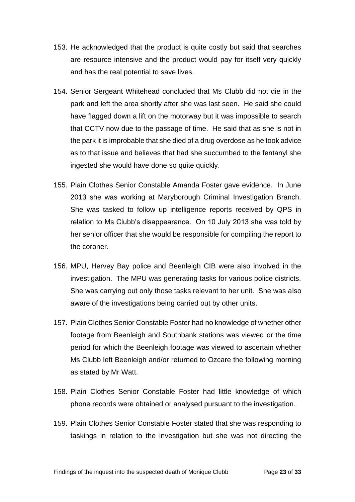- 153. He acknowledged that the product is quite costly but said that searches are resource intensive and the product would pay for itself very quickly and has the real potential to save lives.
- 154. Senior Sergeant Whitehead concluded that Ms Clubb did not die in the park and left the area shortly after she was last seen. He said she could have flagged down a lift on the motorway but it was impossible to search that CCTV now due to the passage of time. He said that as she is not in the park it is improbable that she died of a drug overdose as he took advice as to that issue and believes that had she succumbed to the fentanyl she ingested she would have done so quite quickly.
- 155. Plain Clothes Senior Constable Amanda Foster gave evidence. In June 2013 she was working at Maryborough Criminal Investigation Branch. She was tasked to follow up intelligence reports received by QPS in relation to Ms Clubb's disappearance. On 10 July 2013 she was told by her senior officer that she would be responsible for compiling the report to the coroner.
- 156. MPU, Hervey Bay police and Beenleigh CIB were also involved in the investigation. The MPU was generating tasks for various police districts. She was carrying out only those tasks relevant to her unit. She was also aware of the investigations being carried out by other units.
- 157. Plain Clothes Senior Constable Foster had no knowledge of whether other footage from Beenleigh and Southbank stations was viewed or the time period for which the Beenleigh footage was viewed to ascertain whether Ms Clubb left Beenleigh and/or returned to Ozcare the following morning as stated by Mr Watt.
- 158. Plain Clothes Senior Constable Foster had little knowledge of which phone records were obtained or analysed pursuant to the investigation.
- 159. Plain Clothes Senior Constable Foster stated that she was responding to taskings in relation to the investigation but she was not directing the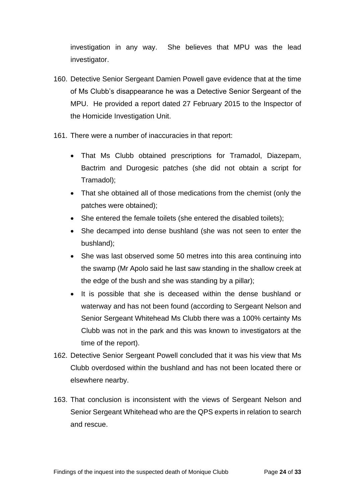investigation in any way. She believes that MPU was the lead investigator.

- 160. Detective Senior Sergeant Damien Powell gave evidence that at the time of Ms Clubb's disappearance he was a Detective Senior Sergeant of the MPU. He provided a report dated 27 February 2015 to the Inspector of the Homicide Investigation Unit.
- 161. There were a number of inaccuracies in that report:
	- That Ms Clubb obtained prescriptions for Tramadol, Diazepam, Bactrim and Durogesic patches (she did not obtain a script for Tramadol);
	- That she obtained all of those medications from the chemist (only the patches were obtained);
	- She entered the female toilets (she entered the disabled toilets);
	- She decamped into dense bushland (she was not seen to enter the bushland);
	- She was last observed some 50 metres into this area continuing into the swamp (Mr Apolo said he last saw standing in the shallow creek at the edge of the bush and she was standing by a pillar);
	- It is possible that she is deceased within the dense bushland or waterway and has not been found (according to Sergeant Nelson and Senior Sergeant Whitehead Ms Clubb there was a 100% certainty Ms Clubb was not in the park and this was known to investigators at the time of the report).
- 162. Detective Senior Sergeant Powell concluded that it was his view that Ms Clubb overdosed within the bushland and has not been located there or elsewhere nearby.
- 163. That conclusion is inconsistent with the views of Sergeant Nelson and Senior Sergeant Whitehead who are the QPS experts in relation to search and rescue.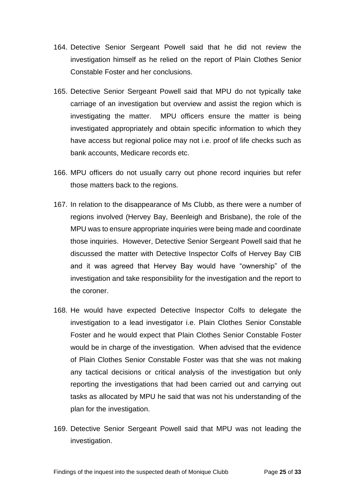- 164. Detective Senior Sergeant Powell said that he did not review the investigation himself as he relied on the report of Plain Clothes Senior Constable Foster and her conclusions.
- 165. Detective Senior Sergeant Powell said that MPU do not typically take carriage of an investigation but overview and assist the region which is investigating the matter. MPU officers ensure the matter is being investigated appropriately and obtain specific information to which they have access but regional police may not i.e. proof of life checks such as bank accounts, Medicare records etc.
- 166. MPU officers do not usually carry out phone record inquiries but refer those matters back to the regions.
- 167. In relation to the disappearance of Ms Clubb, as there were a number of regions involved (Hervey Bay, Beenleigh and Brisbane), the role of the MPU was to ensure appropriate inquiries were being made and coordinate those inquiries. However, Detective Senior Sergeant Powell said that he discussed the matter with Detective Inspector Colfs of Hervey Bay CIB and it was agreed that Hervey Bay would have "ownership" of the investigation and take responsibility for the investigation and the report to the coroner.
- 168. He would have expected Detective Inspector Colfs to delegate the investigation to a lead investigator i.e. Plain Clothes Senior Constable Foster and he would expect that Plain Clothes Senior Constable Foster would be in charge of the investigation. When advised that the evidence of Plain Clothes Senior Constable Foster was that she was not making any tactical decisions or critical analysis of the investigation but only reporting the investigations that had been carried out and carrying out tasks as allocated by MPU he said that was not his understanding of the plan for the investigation.
- 169. Detective Senior Sergeant Powell said that MPU was not leading the investigation.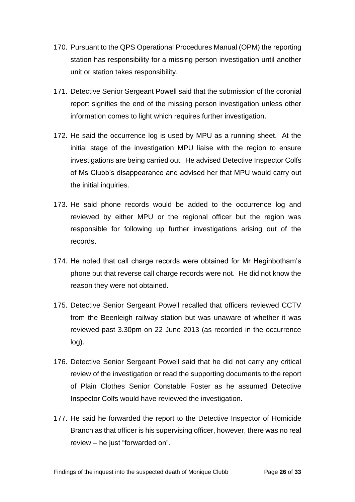- 170. Pursuant to the QPS Operational Procedures Manual (OPM) the reporting station has responsibility for a missing person investigation until another unit or station takes responsibility.
- 171. Detective Senior Sergeant Powell said that the submission of the coronial report signifies the end of the missing person investigation unless other information comes to light which requires further investigation.
- 172. He said the occurrence log is used by MPU as a running sheet. At the initial stage of the investigation MPU liaise with the region to ensure investigations are being carried out. He advised Detective Inspector Colfs of Ms Clubb's disappearance and advised her that MPU would carry out the initial inquiries.
- 173. He said phone records would be added to the occurrence log and reviewed by either MPU or the regional officer but the region was responsible for following up further investigations arising out of the records.
- 174. He noted that call charge records were obtained for Mr Heginbotham's phone but that reverse call charge records were not. He did not know the reason they were not obtained.
- 175. Detective Senior Sergeant Powell recalled that officers reviewed CCTV from the Beenleigh railway station but was unaware of whether it was reviewed past 3.30pm on 22 June 2013 (as recorded in the occurrence log).
- 176. Detective Senior Sergeant Powell said that he did not carry any critical review of the investigation or read the supporting documents to the report of Plain Clothes Senior Constable Foster as he assumed Detective Inspector Colfs would have reviewed the investigation.
- 177. He said he forwarded the report to the Detective Inspector of Homicide Branch as that officer is his supervising officer, however, there was no real review – he just "forwarded on".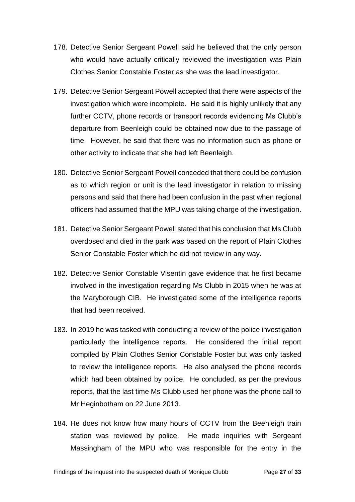- 178. Detective Senior Sergeant Powell said he believed that the only person who would have actually critically reviewed the investigation was Plain Clothes Senior Constable Foster as she was the lead investigator.
- 179. Detective Senior Sergeant Powell accepted that there were aspects of the investigation which were incomplete. He said it is highly unlikely that any further CCTV, phone records or transport records evidencing Ms Clubb's departure from Beenleigh could be obtained now due to the passage of time. However, he said that there was no information such as phone or other activity to indicate that she had left Beenleigh.
- 180. Detective Senior Sergeant Powell conceded that there could be confusion as to which region or unit is the lead investigator in relation to missing persons and said that there had been confusion in the past when regional officers had assumed that the MPU was taking charge of the investigation.
- 181. Detective Senior Sergeant Powell stated that his conclusion that Ms Clubb overdosed and died in the park was based on the report of Plain Clothes Senior Constable Foster which he did not review in any way.
- 182. Detective Senior Constable Visentin gave evidence that he first became involved in the investigation regarding Ms Clubb in 2015 when he was at the Maryborough CIB. He investigated some of the intelligence reports that had been received.
- 183. In 2019 he was tasked with conducting a review of the police investigation particularly the intelligence reports. He considered the initial report compiled by Plain Clothes Senior Constable Foster but was only tasked to review the intelligence reports. He also analysed the phone records which had been obtained by police. He concluded, as per the previous reports, that the last time Ms Clubb used her phone was the phone call to Mr Heginbotham on 22 June 2013.
- 184. He does not know how many hours of CCTV from the Beenleigh train station was reviewed by police. He made inquiries with Sergeant Massingham of the MPU who was responsible for the entry in the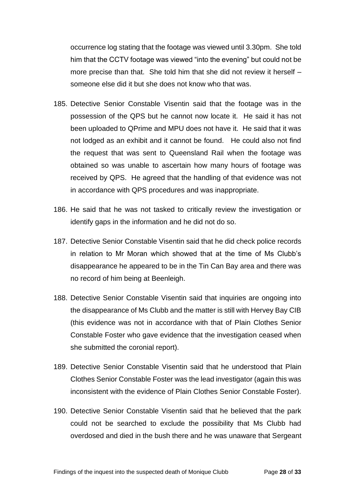occurrence log stating that the footage was viewed until 3.30pm. She told him that the CCTV footage was viewed "into the evening" but could not be more precise than that. She told him that she did not review it herself – someone else did it but she does not know who that was.

- 185. Detective Senior Constable Visentin said that the footage was in the possession of the QPS but he cannot now locate it. He said it has not been uploaded to QPrime and MPU does not have it. He said that it was not lodged as an exhibit and it cannot be found. He could also not find the request that was sent to Queensland Rail when the footage was obtained so was unable to ascertain how many hours of footage was received by QPS. He agreed that the handling of that evidence was not in accordance with QPS procedures and was inappropriate.
- 186. He said that he was not tasked to critically review the investigation or identify gaps in the information and he did not do so.
- 187. Detective Senior Constable Visentin said that he did check police records in relation to Mr Moran which showed that at the time of Ms Clubb's disappearance he appeared to be in the Tin Can Bay area and there was no record of him being at Beenleigh.
- 188. Detective Senior Constable Visentin said that inquiries are ongoing into the disappearance of Ms Clubb and the matter is still with Hervey Bay CIB (this evidence was not in accordance with that of Plain Clothes Senior Constable Foster who gave evidence that the investigation ceased when she submitted the coronial report).
- 189. Detective Senior Constable Visentin said that he understood that Plain Clothes Senior Constable Foster was the lead investigator (again this was inconsistent with the evidence of Plain Clothes Senior Constable Foster).
- 190. Detective Senior Constable Visentin said that he believed that the park could not be searched to exclude the possibility that Ms Clubb had overdosed and died in the bush there and he was unaware that Sergeant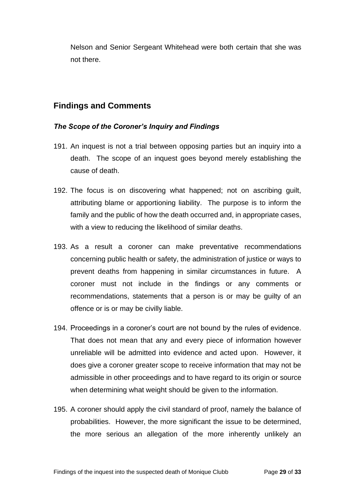Nelson and Senior Sergeant Whitehead were both certain that she was not there.

### <span id="page-31-0"></span>**Findings and Comments**

#### <span id="page-31-1"></span>*The Scope of the Coroner's Inquiry and Findings*

- 191. An inquest is not a trial between opposing parties but an inquiry into a death. The scope of an inquest goes beyond merely establishing the cause of death.
- 192. The focus is on discovering what happened; not on ascribing guilt, attributing blame or apportioning liability. The purpose is to inform the family and the public of how the death occurred and, in appropriate cases, with a view to reducing the likelihood of similar deaths.
- 193. As a result a coroner can make preventative recommendations concerning public health or safety, the administration of justice or ways to prevent deaths from happening in similar circumstances in future. A coroner must not include in the findings or any comments or recommendations, statements that a person is or may be guilty of an offence or is or may be civilly liable.
- 194. Proceedings in a coroner's court are not bound by the rules of evidence. That does not mean that any and every piece of information however unreliable will be admitted into evidence and acted upon. However, it does give a coroner greater scope to receive information that may not be admissible in other proceedings and to have regard to its origin or source when determining what weight should be given to the information.
- 195. A coroner should apply the civil standard of proof, namely the balance of probabilities. However, the more significant the issue to be determined, the more serious an allegation of the more inherently unlikely an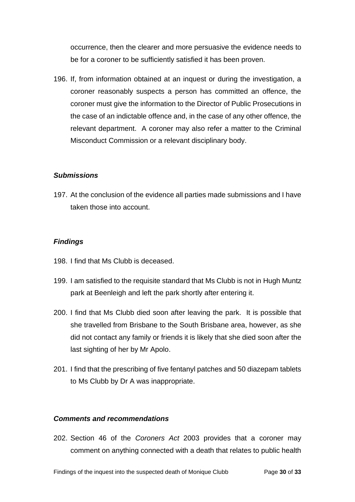occurrence, then the clearer and more persuasive the evidence needs to be for a coroner to be sufficiently satisfied it has been proven.

196. If, from information obtained at an inquest or during the investigation, a coroner reasonably suspects a person has committed an offence, the coroner must give the information to the Director of Public Prosecutions in the case of an indictable offence and, in the case of any other offence, the relevant department. A coroner may also refer a matter to the Criminal Misconduct Commission or a relevant disciplinary body.

#### <span id="page-32-0"></span>*Submissions*

197. At the conclusion of the evidence all parties made submissions and I have taken those into account.

#### <span id="page-32-1"></span>*Findings*

- 198. I find that Ms Clubb is deceased.
- 199. I am satisfied to the requisite standard that Ms Clubb is not in Hugh Muntz park at Beenleigh and left the park shortly after entering it.
- 200. I find that Ms Clubb died soon after leaving the park. It is possible that she travelled from Brisbane to the South Brisbane area, however, as she did not contact any family or friends it is likely that she died soon after the last sighting of her by Mr Apolo.
- 201. I find that the prescribing of five fentanyl patches and 50 diazepam tablets to Ms Clubb by Dr A was inappropriate.

#### <span id="page-32-2"></span>*Comments and recommendations*

202. Section 46 of the *Coroners Act* 2003 provides that a coroner may comment on anything connected with a death that relates to public health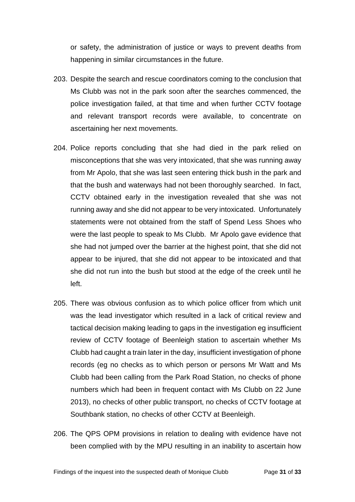or safety, the administration of justice or ways to prevent deaths from happening in similar circumstances in the future.

- 203. Despite the search and rescue coordinators coming to the conclusion that Ms Clubb was not in the park soon after the searches commenced, the police investigation failed, at that time and when further CCTV footage and relevant transport records were available, to concentrate on ascertaining her next movements.
- 204. Police reports concluding that she had died in the park relied on misconceptions that she was very intoxicated, that she was running away from Mr Apolo, that she was last seen entering thick bush in the park and that the bush and waterways had not been thoroughly searched. In fact, CCTV obtained early in the investigation revealed that she was not running away and she did not appear to be very intoxicated. Unfortunately statements were not obtained from the staff of Spend Less Shoes who were the last people to speak to Ms Clubb. Mr Apolo gave evidence that she had not jumped over the barrier at the highest point, that she did not appear to be injured, that she did not appear to be intoxicated and that she did not run into the bush but stood at the edge of the creek until he left.
- 205. There was obvious confusion as to which police officer from which unit was the lead investigator which resulted in a lack of critical review and tactical decision making leading to gaps in the investigation eg insufficient review of CCTV footage of Beenleigh station to ascertain whether Ms Clubb had caught a train later in the day, insufficient investigation of phone records (eg no checks as to which person or persons Mr Watt and Ms Clubb had been calling from the Park Road Station, no checks of phone numbers which had been in frequent contact with Ms Clubb on 22 June 2013), no checks of other public transport, no checks of CCTV footage at Southbank station, no checks of other CCTV at Beenleigh.
- 206. The QPS OPM provisions in relation to dealing with evidence have not been complied with by the MPU resulting in an inability to ascertain how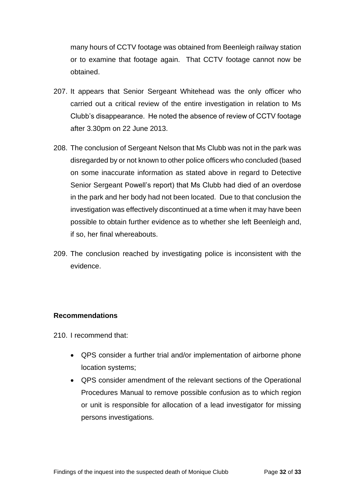many hours of CCTV footage was obtained from Beenleigh railway station or to examine that footage again. That CCTV footage cannot now be obtained.

- 207. It appears that Senior Sergeant Whitehead was the only officer who carried out a critical review of the entire investigation in relation to Ms Clubb's disappearance. He noted the absence of review of CCTV footage after 3.30pm on 22 June 2013.
- 208. The conclusion of Sergeant Nelson that Ms Clubb was not in the park was disregarded by or not known to other police officers who concluded (based on some inaccurate information as stated above in regard to Detective Senior Sergeant Powell's report) that Ms Clubb had died of an overdose in the park and her body had not been located. Due to that conclusion the investigation was effectively discontinued at a time when it may have been possible to obtain further evidence as to whether she left Beenleigh and, if so, her final whereabouts.
- 209. The conclusion reached by investigating police is inconsistent with the evidence.

#### <span id="page-34-0"></span>**Recommendations**

210. I recommend that:

- QPS consider a further trial and/or implementation of airborne phone location systems;
- QPS consider amendment of the relevant sections of the Operational Procedures Manual to remove possible confusion as to which region or unit is responsible for allocation of a lead investigator for missing persons investigations.